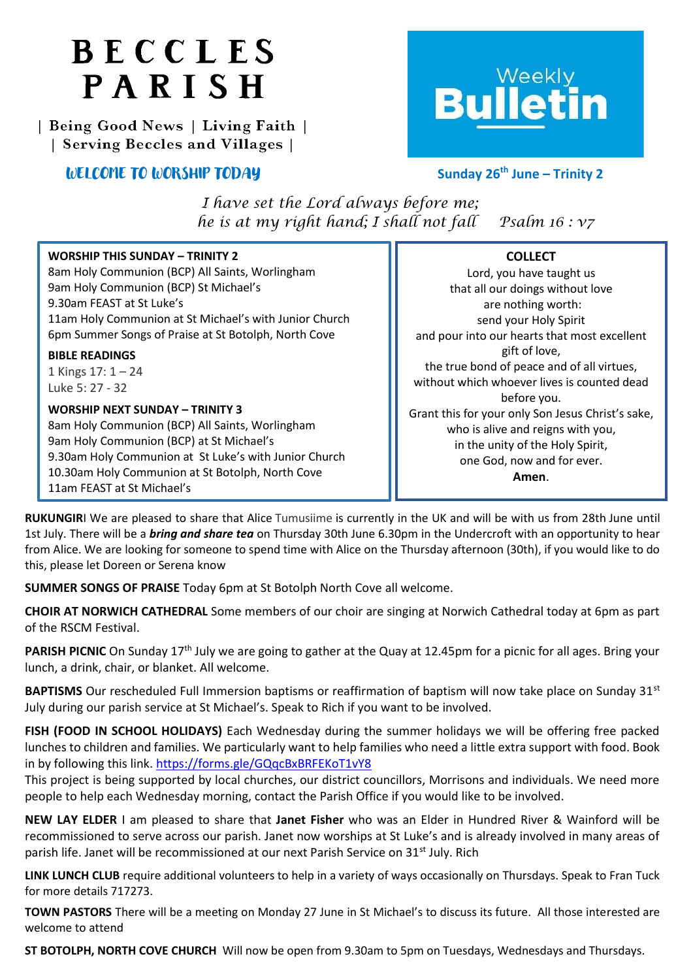## BECCLES PARISH

| Being Good News | Living Faith | | Serving Beccles and Villages |

## WELCOME TO WORSHIP TODAY **Sunday 26th June – Trinity 2**



*I have set the Lord always before me; he is at my right hand; I shall not fall Psalm 16 : v7*

| <b>WORSHIP THIS SUNDAY - TRINITY 2</b>                 | <b>COLLECT</b>                                    |
|--------------------------------------------------------|---------------------------------------------------|
| 8am Holy Communion (BCP) All Saints, Worlingham        | Lord, you have taught us                          |
| 9am Holy Communion (BCP) St Michael's                  | that all our doings without love                  |
| 9.30am FEAST at St Luke's                              | are nothing worth:                                |
| 11am Holy Communion at St Michael's with Junior Church | send your Holy Spirit                             |
| 6pm Summer Songs of Praise at St Botolph, North Cove   | and pour into our hearts that most excellent      |
| <b>BIBLE READINGS</b>                                  | gift of love,                                     |
| 1 Kings $17:1 - 24$                                    | the true bond of peace and of all virtues,        |
| Luke 5: 27 - 32                                        | without which whoever lives is counted dead       |
|                                                        | before you.                                       |
| <b>WORSHIP NEXT SUNDAY - TRINITY 3</b>                 | Grant this for your only Son Jesus Christ's sake, |
| 8am Holy Communion (BCP) All Saints, Worlingham        | who is alive and reigns with you,                 |
| 9am Holy Communion (BCP) at St Michael's               | in the unity of the Holy Spirit,                  |
| 9.30am Holy Communion at St Luke's with Junior Church  | one God, now and for ever.                        |
| 10.30am Holy Communion at St Botolph, North Cove       | Amen.                                             |
| 11am FEAST at St Michael's                             |                                                   |

**RUKUNGIR**I We are pleased to share that Alice Tumusiime is currently in the UK and will be with us from 28th June until 1st July. There will be a *bring and share tea* on Thursday 30th June 6.30pm in the Undercroft with an opportunity to hear from Alice. We are looking for someone to spend time with Alice on the Thursday afternoon (30th), if you would like to do this, please let Doreen or Serena know

**SUMMER SONGS OF PRAISE** Today 6pm at St Botolph North Cove all welcome.

**CHOIR AT NORWICH CATHEDRAL** Some members of our choir are singing at Norwich Cathedral today at 6pm as part of the RSCM Festival.

**PARISH PICNIC** On Sunday 17<sup>th</sup> July we are going to gather at the Quay at 12.45pm for a picnic for all ages. Bring your lunch, a drink, chair, or blanket. All welcome.

**BAPTISMS** Our rescheduled Full Immersion baptisms or reaffirmation of baptism will now take place on Sunday 31<sup>st</sup> July during our parish service at St Michael's. Speak to Rich if you want to be involved.

**FISH (FOOD IN SCHOOL HOLIDAYS)** Each Wednesday during the summer holidays we will be offering free packed lunches to children and families. We particularly want to help families who need a little extra support with food. Book in by following this link. [https://forms.gle/GQqcBxBRFEKoT1vY8](https://l.facebook.com/l.php?u=https%3A%2F%2Fforms.gle%2FGQqcBxBRFEKoT1vY8%3Ffbclid%3DIwAR0NCQRX-gJ3MpafpaAGDc_9LrK3jKgN5kgA-2QGbUbFIoVQ1bStiIdtLmY&h=AT2sWQoxIGVl4xwrpVoQwU2qn2NZwTu4K28cRuLy_f40avufXXr6VSw4TQo7ZUsdRbEh1Qt8fqLMwQ4Zp_2euPBgjbmzwmv0i1Y61HnXsYfAOPiUajG6EpValqA2MVWBuHcxSdDG6oUm0Scm7g&__tn__=-UK-y-R&c%5b0%5d=AT3i72zw8dk89vDJJkXSM6oPKyvLEr3YxXzOsVNnO0uaGR-ocvqhL1ZsFr9wRARtjHmlmFvRshn-kMavySw8t67K30nNMQ86a4ht1z7i1CFpmPUhCig4a5o1vifiglw-txMn_g4C5EUmQIcmMz9OOT3yEMiZHYA1ypzkTFGGn1ZgounM0SaonwiawLCslgoA9PGAZ8FR2yvHSOFSbQKVWYHVqzSaaD3g8VqZ40gYgbwzB8FSyszxf1N6qOhjPGYRgz1Fdoz8pQBC4v_tGA)

This project is being supported by local churches, our district councillors, Morrisons and individuals. We need more people to help each Wednesday morning, contact the Parish Office if you would like to be involved.

**NEW LAY ELDER** I am pleased to share that **Janet Fisher** who was an Elder in Hundred River & Wainford will be recommissioned to serve across our parish. Janet now worships at St Luke's and is already involved in many areas of parish life. Janet will be recommissioned at our next Parish Service on  $31^{st}$  July. Rich

**LINK LUNCH CLUB** require additional volunteers to help in a variety of ways occasionally on Thursdays. Speak to Fran Tuck for more details 717273.

**TOWN PASTORS** There will be a meeting on Monday 27 June in St Michael's to discuss its future. All those interested are welcome to attend

**ST BOTOLPH, NORTH COVE CHURCH** Will now be open from 9.30am to 5pm on Tuesdays, Wednesdays and Thursdays.